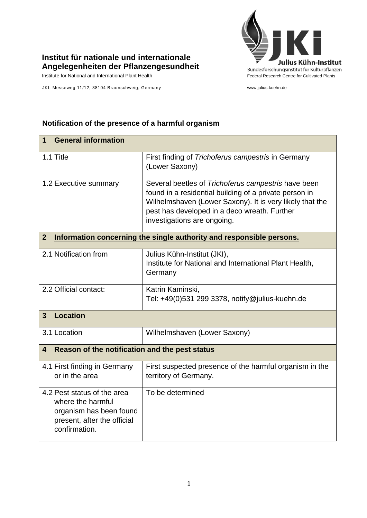

## **Institut für nationale und internationale Angelegenheiten der Pflanzengesundheit**

Institute for National and International Plant Health Feature And Theorem Federal Research Centre for Cultivated Plants

JKI, Messeweg 11/12, 38104 Braunschweig, Germany www.julius-kuehn.de

## **1 General information** 1.1 Title First finding of *Trichoferus campestris* in Germany (Lower Saxony) 1.2 Executive summary Several beetles of *Trichoferus campestris* have been found in a residential building of a private person in Wilhelmshaven (Lower Saxony). It is very likely that the pest has developed in a deco wreath. Further investigations are ongoing. **2 Information concerning the single authority and responsible persons.** 2.1 Notification from  $\vert$  Julius Kühn-Institut (JKI), Institute for National and International Plant Health, **Germany** 2.2 Official contact: Katrin Kaminski, Tel: +49(0)531 299 3378, [notify@julius-kuehn.de](mailto:notify@jki.bund.de) **3 Location**  3.1 Location Wilhelmshaven (Lower Saxony) **4 Reason of the notification and the pest status** 4.1 First finding in Germany or in the area First suspected presence of the harmful organism in the territory of Germany. 4.2 Pest status of the area where the harmful organism has been found present, after the official confirmation. To be determined

## **Notification of the presence of a harmful organism**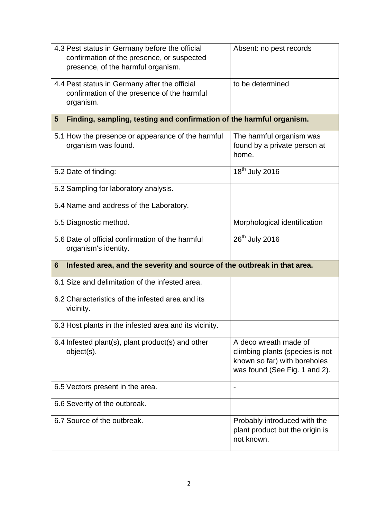| 4.3 Pest status in Germany before the official<br>confirmation of the presence, or suspected<br>presence, of the harmful organism. | Absent: no pest records                                                                                                   |  |
|------------------------------------------------------------------------------------------------------------------------------------|---------------------------------------------------------------------------------------------------------------------------|--|
| 4.4 Pest status in Germany after the official<br>confirmation of the presence of the harmful<br>organism.                          | to be determined                                                                                                          |  |
| Finding, sampling, testing and confirmation of the harmful organism.<br>$5\phantom{.0}$                                            |                                                                                                                           |  |
| 5.1 How the presence or appearance of the harmful<br>organism was found.                                                           | The harmful organism was<br>found by a private person at<br>home.                                                         |  |
| 5.2 Date of finding:                                                                                                               | 18 <sup>th</sup> July 2016                                                                                                |  |
| 5.3 Sampling for laboratory analysis.                                                                                              |                                                                                                                           |  |
| 5.4 Name and address of the Laboratory.                                                                                            |                                                                                                                           |  |
| 5.5 Diagnostic method.                                                                                                             | Morphological identification                                                                                              |  |
| 5.6 Date of official confirmation of the harmful<br>organism's identity.                                                           | 26 <sup>th</sup> July 2016                                                                                                |  |
| Infested area, and the severity and source of the outbreak in that area.<br>6                                                      |                                                                                                                           |  |
| 6.1 Size and delimitation of the infested area.                                                                                    |                                                                                                                           |  |
| 6.2 Characteristics of the infested area and its<br>vicinity.                                                                      |                                                                                                                           |  |
| 6.3 Host plants in the infested area and its vicinity.                                                                             |                                                                                                                           |  |
| 6.4 Infested plant(s), plant product(s) and other<br>object(s).                                                                    | A deco wreath made of<br>climbing plants (species is not<br>known so far) with boreholes<br>was found (See Fig. 1 and 2). |  |
| 6.5 Vectors present in the area.                                                                                                   | $\overline{\phantom{a}}$                                                                                                  |  |
| 6.6 Severity of the outbreak.                                                                                                      |                                                                                                                           |  |
| 6.7 Source of the outbreak.                                                                                                        | Probably introduced with the<br>plant product but the origin is<br>not known.                                             |  |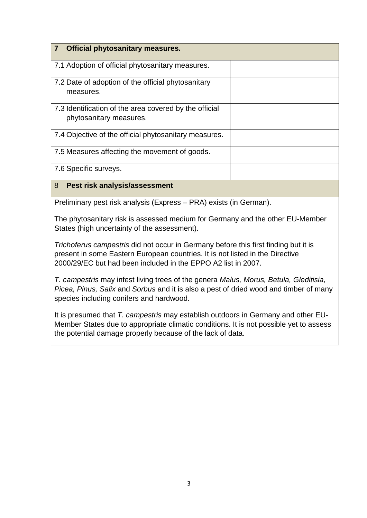| <b>Official phytosanitary measures.</b>                                           |  |
|-----------------------------------------------------------------------------------|--|
| 7.1 Adoption of official phytosanitary measures.                                  |  |
| 7.2 Date of adoption of the official phytosanitary<br>measures.                   |  |
| 7.3 Identification of the area covered by the official<br>phytosanitary measures. |  |
| 7.4 Objective of the official phytosanitary measures.                             |  |
| 7.5 Measures affecting the movement of goods.                                     |  |
| 7.6 Specific surveys.                                                             |  |
| 8<br>Pest risk analysis/assessment                                                |  |

Preliminary pest risk analysis (Express – PRA) exists (in German).

The phytosanitary risk is assessed medium for Germany and the other EU-Member States (high uncertainty of the assessment).

*Trichoferus campestris* did not occur in Germany before this first finding but it is present in some Eastern European countries. It is not listed in the Directive 2000/29/EC but had been included in the EPPO A2 list in 2007.

*T. campestris* may infest living trees of the genera *Malus, Morus, Betula, Gleditisia, Picea, Pinus, Salix* and *Sorbus* and it is also a pest of dried wood and timber of many species including conifers and hardwood.

It is presumed that *T. campestris* may establish outdoors in Germany and other EU-Member States due to appropriate climatic conditions. It is not possible yet to assess the potential damage properly because of the lack of data.